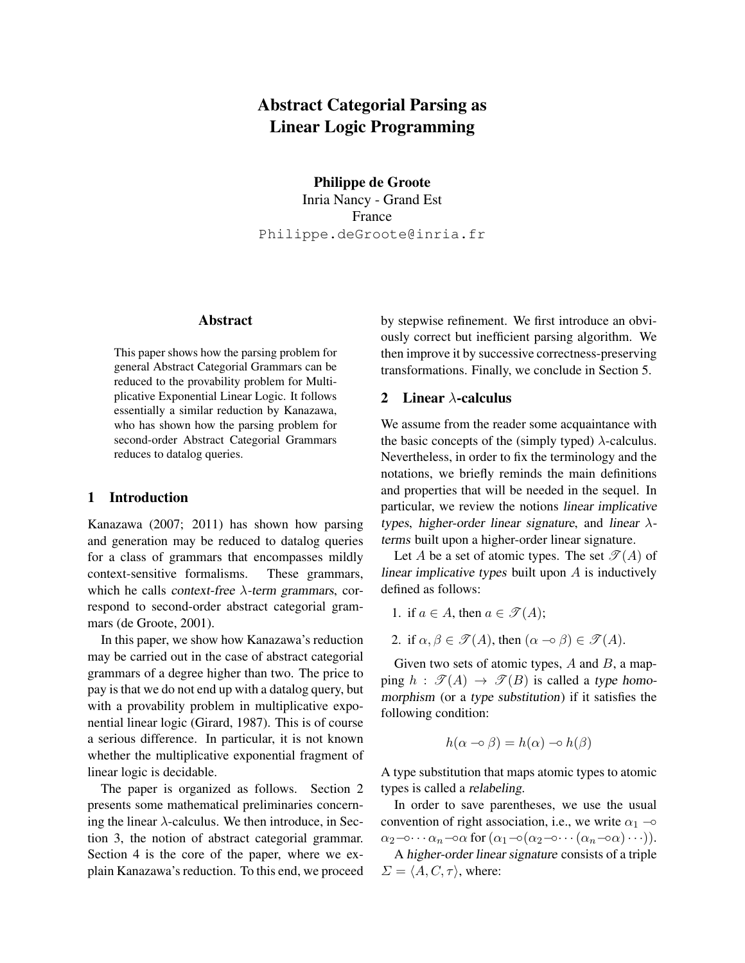# Abstract Categorial Parsing as Linear Logic Programming

Philippe de Groote Inria Nancy - Grand Est France Philippe.deGroote@inria.fr

# Abstract

This paper shows how the parsing problem for general Abstract Categorial Grammars can be reduced to the provability problem for Multiplicative Exponential Linear Logic. It follows essentially a similar reduction by Kanazawa, who has shown how the parsing problem for second-order Abstract Categorial Grammars reduces to datalog queries.

### 1 Introduction

Kanazawa (2007; 2011) has shown how parsing and generation may be reduced to datalog queries for a class of grammars that encompasses mildly context-sensitive formalisms. These grammars, which he calls context-free  $\lambda$ -term grammars, correspond to second-order abstract categorial grammars (de Groote, 2001).

In this paper, we show how Kanazawa's reduction may be carried out in the case of abstract categorial grammars of a degree higher than two. The price to pay is that we do not end up with a datalog query, but with a provability problem in multiplicative exponential linear logic (Girard, 1987). This is of course a serious difference. In particular, it is not known whether the multiplicative exponential fragment of linear logic is decidable.

The paper is organized as follows. Section 2 presents some mathematical preliminaries concerning the linear  $\lambda$ -calculus. We then introduce, in Section 3, the notion of abstract categorial grammar. Section 4 is the core of the paper, where we explain Kanazawa's reduction. To this end, we proceed by stepwise refinement. We first introduce an obviously correct but inefficient parsing algorithm. We then improve it by successive correctness-preserving transformations. Finally, we conclude in Section 5.

### 2 Linear  $\lambda$ -calculus

We assume from the reader some acquaintance with the basic concepts of the (simply typed)  $\lambda$ -calculus. Nevertheless, in order to fix the terminology and the notations, we briefly reminds the main definitions and properties that will be needed in the sequel. In particular, we review the notions linear implicative types, higher-order linear signature, and linear  $\lambda$ terms built upon a higher-order linear signature.

Let A be a set of atomic types. The set  $\mathcal{T}(A)$  of linear implicative types built upon A is inductively defined as follows:

- 1. if  $a \in A$ , then  $a \in \mathscr{T}(A)$ ;
- 2. if  $\alpha, \beta \in \mathcal{T}(A)$ , then  $(\alpha \neg \circ \beta) \in \mathcal{T}(A)$ .

Given two sets of atomic types,  $A$  and  $B$ , a mapping  $h : \mathscr{T}(A) \to \mathscr{T}(B)$  is called a type homomorphism (or a type substitution) if it satisfies the following condition:

$$
h(\alpha \neg \circ \beta) = h(\alpha) \neg \circ h(\beta)
$$

A type substitution that maps atomic types to atomic types is called a relabeling.

In order to save parentheses, we use the usual convention of right association, i.e., we write  $\alpha_1$  – $\circ$  $\alpha_2-\cdots-\alpha_n-\alpha$  for  $(\alpha_1-\alpha_2-\cdots(\alpha_n-\alpha)\cdots).$ 

A higher-order linear signature consists of a triple  $\Sigma = \langle A, C, \tau \rangle$ , where: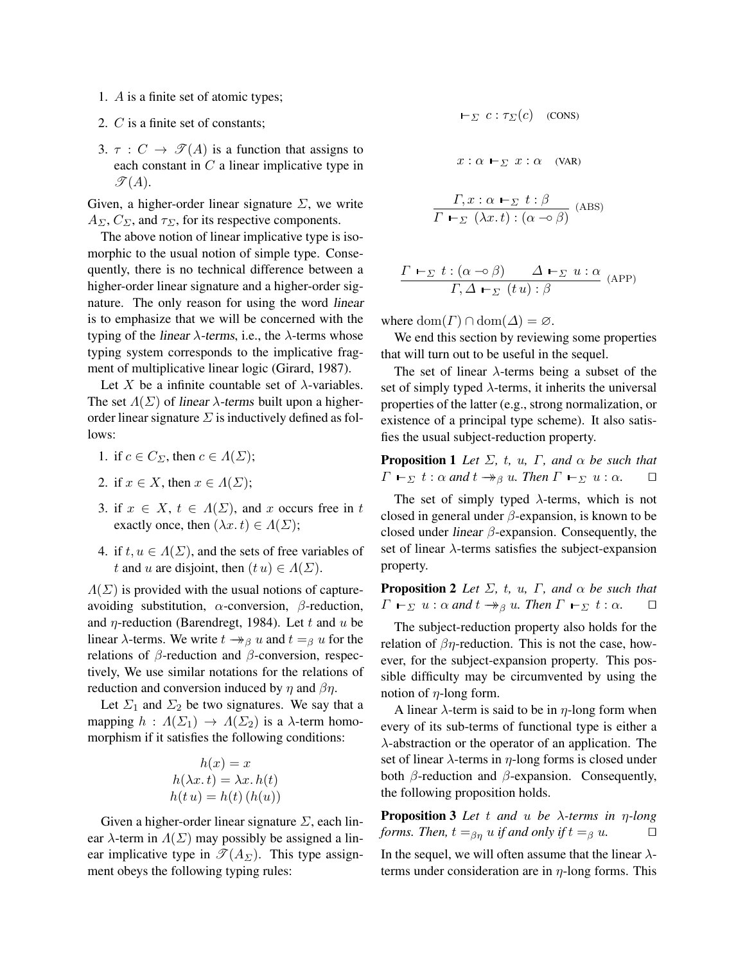- 1. A is a finite set of atomic types;
- 2. C is a finite set of constants;
- 3.  $\tau : C \rightarrow \mathcal{I}(A)$  is a function that assigns to each constant in  $C$  a linear implicative type in  $\mathcal{T}(A)$ .

Given, a higher-order linear signature  $\Sigma$ , we write  $A_{\Sigma}$ ,  $C_{\Sigma}$ , and  $\tau_{\Sigma}$ , for its respective components.

The above notion of linear implicative type is isomorphic to the usual notion of simple type. Consequently, there is no technical difference between a higher-order linear signature and a higher-order signature. The only reason for using the word linear is to emphasize that we will be concerned with the typing of the linear  $\lambda$ -terms, i.e., the  $\lambda$ -terms whose typing system corresponds to the implicative fragment of multiplicative linear logic (Girard, 1987).

Let X be a infinite countable set of  $\lambda$ -variables. The set  $\Lambda(\Sigma)$  of linear  $\lambda$ -terms built upon a higherorder linear signature  $\Sigma$  is inductively defined as follows:

- 1. if  $c \in C_{\Sigma}$ , then  $c \in \Lambda(\Sigma)$ ;
- 2. if  $x \in X$ , then  $x \in \Lambda(\Sigma)$ ;
- 3. if  $x \in X$ ,  $t \in \Lambda(\Sigma)$ , and x occurs free in t exactly once, then  $(\lambda x. t) \in \Lambda(\Sigma)$ ;
- 4. if  $t, u \in \Lambda(\Sigma)$ , and the sets of free variables of t and u are disjoint, then  $(t u) \in \Lambda(\Sigma)$ .

 $\Lambda(\Sigma)$  is provided with the usual notions of captureavoiding substitution,  $\alpha$ -conversion,  $\beta$ -reduction, and  $\eta$ -reduction (Barendregt, 1984). Let t and u be linear  $\lambda$ -terms. We write  $t \rightarrow_{\beta} u$  and  $t =_{\beta} u$  for the relations of  $\beta$ -reduction and  $\beta$ -conversion, respectively, We use similar notations for the relations of reduction and conversion induced by  $\eta$  and  $\beta\eta$ .

Let  $\Sigma_1$  and  $\Sigma_2$  be two signatures. We say that a mapping  $h : \Lambda(\Sigma_1) \to \Lambda(\Sigma_2)$  is a  $\lambda$ -term homomorphism if it satisfies the following conditions:

$$
h(x) = x
$$
  
 
$$
h(\lambda x. t) = \lambda x. h(t)
$$
  
 
$$
h(t u) = h(t) (h(u))
$$

Given a higher-order linear signature  $\Sigma$ , each linear  $\lambda$ -term in  $\Lambda(\Sigma)$  may possibly be assigned a linear implicative type in  $\mathscr{T}(A_{\Sigma})$ . This type assignment obeys the following typing rules:

$$
\vdash_{\varSigma} c : \tau_{\varSigma}(c) \quad \text{(cons)}
$$
\n
$$
x : \alpha \vdash_{\varSigma} x : \alpha \quad \text{(VAR)}
$$
\n
$$
\frac{\Gamma, x : \alpha \vdash_{\varSigma} t : \beta}{\Gamma \vdash_{\varSigma} (\lambda x. t) : (\alpha \multimap \beta)} \text{ (ABS)}
$$

 $\Gamma\vdash_{\Sigma} t : (\alpha \multimap \beta) \qquad \Delta \vdash_{\Sigma} u : \alpha$  $\frac{\Gamma(\alpha + \mu)}{\Gamma, \Delta \vdash_{\Sigma} (t u) : \beta}$  (APP)

where  $\text{dom}(\Gamma) \cap \text{dom}(\Delta) = \emptyset$ .

We end this section by reviewing some properties that will turn out to be useful in the sequel.

The set of linear  $\lambda$ -terms being a subset of the set of simply typed  $\lambda$ -terms, it inherits the universal properties of the latter (e.g., strong normalization, or existence of a principal type scheme). It also satisfies the usual subject-reduction property.

**Proposition 1** *Let*  $\Sigma$ *, t, u,*  $\Gamma$ *<i>, and*  $\alpha$  *be such that*  $\Gamma \vdash_{\Sigma} t : \alpha$  and  $t \rightarrow_{\beta} u$ . Then  $\Gamma \vdash_{\Sigma} u : \alpha$ .  $\square$ 

The set of simply typed  $\lambda$ -terms, which is not closed in general under  $\beta$ -expansion, is known to be closed under *linear*  $\beta$ -expansion. Consequently, the set of linear  $\lambda$ -terms satisfies the subject-expansion property.

**Proposition 2** *Let*  $\Sigma$ *, t, u,*  $\Gamma$ *<i>, and*  $\alpha$  *be such that*  $\Gamma \vdash_{\Sigma} u : \alpha$  and  $t \rightarrow_{\beta} u$ . Then  $\Gamma \vdash_{\Sigma} t : \alpha$ .  $\Box$ 

The subject-reduction property also holds for the relation of  $\beta\eta$ -reduction. This is not the case, however, for the subject-expansion property. This possible difficulty may be circumvented by using the notion of  $\eta$ -long form.

A linear  $\lambda$ -term is said to be in  $\eta$ -long form when every of its sub-terms of functional type is either a  $\lambda$ -abstraction or the operator of an application. The set of linear  $\lambda$ -terms in  $\eta$ -long forms is closed under both  $\beta$ -reduction and  $\beta$ -expansion. Consequently, the following proposition holds.

Proposition 3 *Let* t *and* u *be* λ*-terms in* η*-long forms. Then,*  $t =_{\beta\eta} u$  *if and only if*  $t =_{\beta} u$ .  $\Box$ 

In the sequel, we will often assume that the linear  $\lambda$ terms under consideration are in  $\eta$ -long forms. This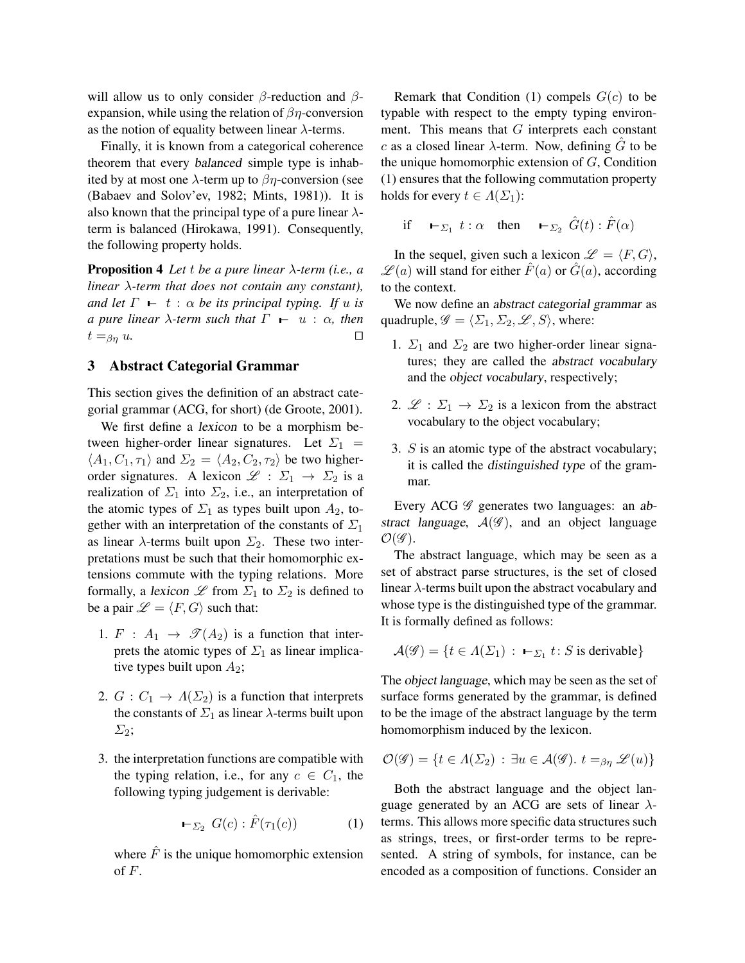will allow us to only consider  $\beta$ -reduction and  $\beta$ expansion, while using the relation of  $\beta\eta$ -conversion as the notion of equality between linear  $\lambda$ -terms.

Finally, it is known from a categorical coherence theorem that every balanced simple type is inhabited by at most one  $\lambda$ -term up to  $\beta\eta$ -conversion (see (Babaev and Solov'ev, 1982; Mints, 1981)). It is also known that the principal type of a pure linear  $\lambda$ term is balanced (Hirokawa, 1991). Consequently, the following property holds.

Proposition 4 *Let* t *be a pure linear* λ*-term (i.e., a linear* λ*-term that does not contain any constant), and let*  $\Gamma$  –  $t$  :  $\alpha$  *be its principal typing. If u is a pure linear*  $\lambda$ -term such that  $\Gamma$  –  $u : \alpha$ , then  $t = \beta \eta u.$ 

### 3 Abstract Categorial Grammar

This section gives the definition of an abstract categorial grammar (ACG, for short) (de Groote, 2001).

We first define a lexicon to be a morphism between higher-order linear signatures. Let  $\Sigma_1$  =  $\langle A_1, C_1, \tau_1 \rangle$  and  $\Sigma_2 = \langle A_2, C_2, \tau_2 \rangle$  be two higherorder signatures. A lexicon  $\mathscr{L} : \Sigma_1 \to \Sigma_2$  is a realization of  $\Sigma_1$  into  $\Sigma_2$ , i.e., an interpretation of the atomic types of  $\Sigma_1$  as types built upon  $A_2$ , together with an interpretation of the constants of  $\Sigma_1$ as linear  $\lambda$ -terms built upon  $\Sigma_2$ . These two interpretations must be such that their homomorphic extensions commute with the typing relations. More formally, a lexicon  $\mathscr L$  from  $\Sigma_1$  to  $\Sigma_2$  is defined to be a pair  $\mathcal{L} = \langle F, G \rangle$  such that:

- 1.  $F : A_1 \rightarrow \mathcal{T}(A_2)$  is a function that interprets the atomic types of  $\Sigma_1$  as linear implicative types built upon  $A_2$ ;
- 2.  $G: C_1 \to A(\Sigma_2)$  is a function that interprets the constants of  $\Sigma_1$  as linear  $\lambda$ -terms built upon  $\Sigma_2$ ;
- 3. the interpretation functions are compatible with the typing relation, i.e., for any  $c \in C_1$ , the following typing judgement is derivable:

$$
\vdash_{\Sigma_2} G(c) : \hat{F}(\tau_1(c)) \tag{1}
$$

where  $\hat{F}$  is the unique homomorphic extension of F.

Remark that Condition (1) compels  $G(c)$  to be typable with respect to the empty typing environment. This means that G interprets each constant c as a closed linear  $\lambda$ -term. Now, defining G to be the unique homomorphic extension of  $G$ , Condition (1) ensures that the following commutation property holds for every  $t \in \Lambda(\Sigma_1)$ :

if 
$$
\vdash_{\Sigma_1} t : \alpha
$$
 then  $\vdash_{\Sigma_2} \hat{G}(t) : \hat{F}(\alpha)$ 

In the sequel, given such a lexicon  $\mathscr{L} = \langle F, G \rangle$ ,  $\mathscr{L}(a)$  will stand for either  $\hat{F}(a)$  or  $\hat{G}(a)$ , according to the context.

We now define an *abstract categorial grammar* as quadruple,  $\mathscr{G} = \langle \Sigma_1, \Sigma_2, \mathscr{L}, S \rangle$ , where:

- 1.  $\Sigma_1$  and  $\Sigma_2$  are two higher-order linear signatures; they are called the abstract vocabulary and the object vocabulary, respectively;
- 2.  $\mathscr{L}: \Sigma_1 \to \Sigma_2$  is a lexicon from the abstract vocabulary to the object vocabulary;
- 3. S is an atomic type of the abstract vocabulary; it is called the distinguished type of the grammar.

Every ACG  $\mathscr G$  generates two languages: an abstract language,  $A(\mathscr{G})$ , and an object language  $\mathcal{O}(\mathscr{G})$ .

The abstract language, which may be seen as a set of abstract parse structures, is the set of closed linear  $\lambda$ -terms built upon the abstract vocabulary and whose type is the distinguished type of the grammar. It is formally defined as follows:

$$
\mathcal{A}(\mathscr{G}) = \{ t \in \Lambda(\Sigma_1) : \vdash_{\Sigma_1} t : S \text{ is derivable} \}
$$

The object language, which may be seen as the set of surface forms generated by the grammar, is defined to be the image of the abstract language by the term homomorphism induced by the lexicon.

$$
\mathcal{O}(\mathscr{G}) = \{ t \in \Lambda(\Sigma_2) : \exists u \in \mathcal{A}(\mathscr{G}), t =_{\beta\eta} \mathscr{L}(u) \}
$$

Both the abstract language and the object language generated by an ACG are sets of linear  $\lambda$ terms. This allows more specific data structures such as strings, trees, or first-order terms to be represented. A string of symbols, for instance, can be encoded as a composition of functions. Consider an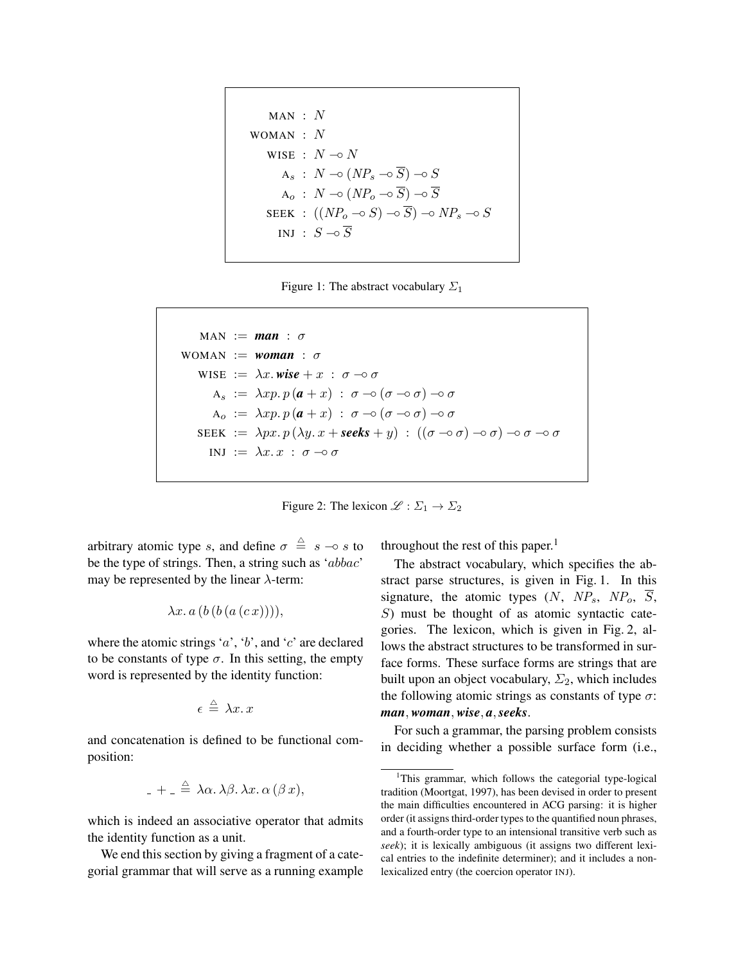MAN: N

\nWOMAN: N

\n
$$
N = N - \circ N
$$
\n
$$
A_s: N \to (NP_s \to \overline{S}) \to S
$$
\n
$$
A_o: N \to (NP_o \to \overline{S}) \to \overline{S}
$$
\nSEEK: 
$$
((NP_o \to S) \to \overline{S}) \to NP_s \to S
$$

\nINJ: 
$$
S \to \overline{S}
$$

Figure 1: The abstract vocabulary  $\Sigma_1$ 

$$
MAN := man : \sigma
$$
  
\n
$$
WOMAN := woman : \sigma
$$
  
\n
$$
WISE := \lambda x \cdot wise + x : \sigma \to \sigma
$$
  
\n
$$
A_s := \lambda xp \cdot p(a + x) : \sigma \to (\sigma \to \sigma) \to \sigma
$$
  
\n
$$
A_o := \lambda xp \cdot p(a + x) : \sigma \to (\sigma \to \sigma) \to \sigma
$$
  
\n
$$
SEEK := \lambda px \cdot p(\lambda y \cdot x + seeks + y) : ((\sigma \to \sigma) \to \sigma) \to \sigma \to \sigma
$$
  
\n
$$
INJ := \lambda x \cdot x : \sigma \to \sigma
$$



arbitrary atomic type s, and define  $\sigma \triangleq s - \circ s$  to be the type of strings. Then, a string such as 'abbac' may be represented by the linear  $\lambda$ -term:

$$
\lambda x.\, a\, (b\, (b\, (a\, (c\, x))))
$$

where the atomic strings 'a', 'b', and 'c' are declared to be constants of type  $\sigma$ . In this setting, the empty word is represented by the identity function:

$$
\epsilon \stackrel{\triangle}{=} \lambda x. x
$$

and concatenation is defined to be functional composition:

$$
_{-}+_{-}\triangleq\lambda\alpha.\,\lambda\beta.\,\lambda x.\,\alpha\,(\beta\,x),
$$

which is indeed an associative operator that admits the identity function as a unit.

We end this section by giving a fragment of a categorial grammar that will serve as a running example throughout the rest of this paper.<sup>1</sup>

The abstract vocabulary, which specifies the abstract parse structures, is given in Fig. 1. In this signature, the atomic types  $(N, NP_s, NP_o, \overline{S},$ S) must be thought of as atomic syntactic categories. The lexicon, which is given in Fig. 2, allows the abstract structures to be transformed in surface forms. These surface forms are strings that are built upon an object vocabulary,  $\Sigma_2$ , which includes the following atomic strings as constants of type  $\sigma$ : *man*, *woman*, *wise*, *a*,*seeks*.

For such a grammar, the parsing problem consists in deciding whether a possible surface form (i.e.,

<sup>&</sup>lt;sup>1</sup>This grammar, which follows the categorial type-logical tradition (Moortgat, 1997), has been devised in order to present the main difficulties encountered in ACG parsing: it is higher order (it assigns third-order types to the quantified noun phrases, and a fourth-order type to an intensional transitive verb such as *seek*); it is lexically ambiguous (it assigns two different lexical entries to the indefinite determiner); and it includes a nonlexicalized entry (the coercion operator INJ).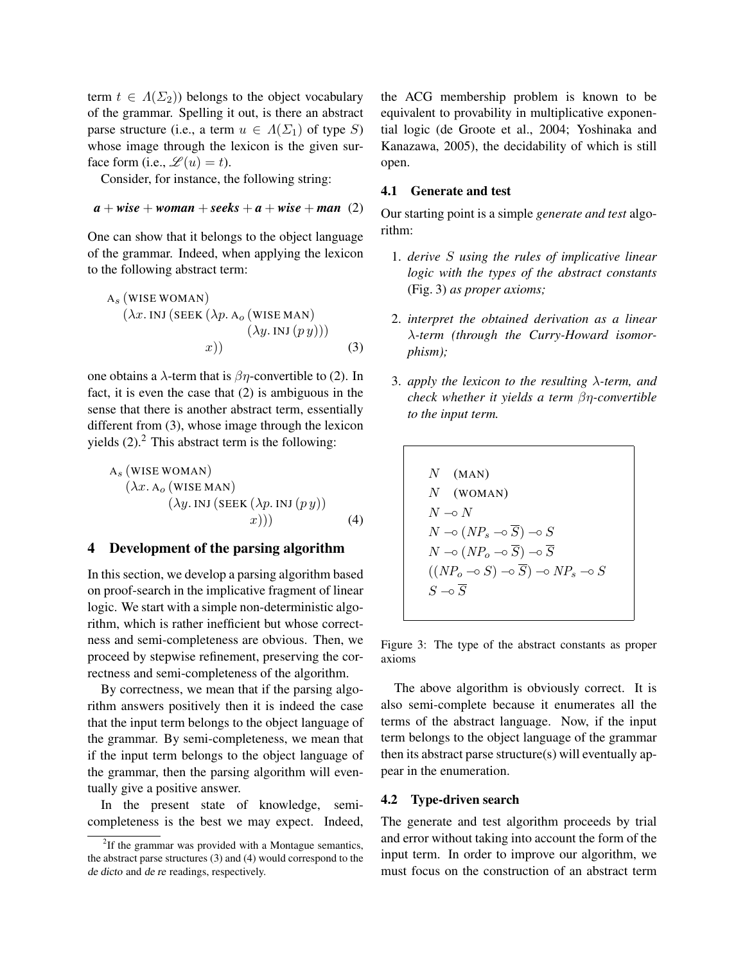term  $t \in \Lambda(\Sigma_2)$ ) belongs to the object vocabulary of the grammar. Spelling it out, is there an abstract parse structure (i.e., a term  $u \in \Lambda(\Sigma_1)$  of type S) whose image through the lexicon is the given surface form (i.e.,  $\mathscr{L}(u) = t$ ).

Consider, for instance, the following string:

$$
a + wise + woman + seeks + a + wise + man (2)
$$

One can show that it belongs to the object language of the grammar. Indeed, when applying the lexicon to the following abstract term:

$$
A_s \text{ (WISE WOMAN)}\n(\lambda x. INJ (SEEK (\lambda p. A_o (WISE MAN))\n(\lambda y. INJ (p y)))\nx))
$$
\n(3)

one obtains a  $\lambda$ -term that is  $\beta$ *n*-convertible to (2). In fact, it is even the case that (2) is ambiguous in the sense that there is another abstract term, essentially different from (3), whose image through the lexicon yields  $(2)$ .<sup>2</sup> This abstract term is the following:

$$
A_{s} \text{ (WISE WOMAN)}\n(\lambda x. A_{o} \text{ (WISE MAN)}\n(\lambda y. INJ (SEEK (\lambda p. INJ (p y)))\nx))) \qquad (4)
$$

# 4 Development of the parsing algorithm

In this section, we develop a parsing algorithm based on proof-search in the implicative fragment of linear logic. We start with a simple non-deterministic algorithm, which is rather inefficient but whose correctness and semi-completeness are obvious. Then, we proceed by stepwise refinement, preserving the correctness and semi-completeness of the algorithm.

By correctness, we mean that if the parsing algorithm answers positively then it is indeed the case that the input term belongs to the object language of the grammar. By semi-completeness, we mean that if the input term belongs to the object language of the grammar, then the parsing algorithm will eventually give a positive answer.

In the present state of knowledge, semicompleteness is the best we may expect. Indeed, the ACG membership problem is known to be equivalent to provability in multiplicative exponential logic (de Groote et al., 2004; Yoshinaka and Kanazawa, 2005), the decidability of which is still open.

#### 4.1 Generate and test

Our starting point is a simple *generate and test* algorithm:

- 1. *derive* S *using the rules of implicative linear logic with the types of the abstract constants* (Fig. 3) *as proper axioms;*
- 2. *interpret the obtained derivation as a linear* λ*-term (through the Curry-Howard isomorphism);*
- 3. *apply the lexicon to the resulting* λ*-term, and check whether it yields a term* βη*-convertible to the input term.*

 $N$  (MAN)  $N$  (WOMAN)  $N \multimap N$  $N \neg \circ (NP_s \neg \circ \overline{S}) \neg \circ S$  $N \negthinspace \circ \negthinspace (NP_o \negthinspace \negthinspace \circ \negthinspace \overline{S}) \negthinspace \circ \negthinspace \overline{S}$  $((NP<sub>o</sub> \neg o S) \neg o \overline{S}) \neg o NP<sub>s</sub> \neg o S$  $S \multimap \overline{S}$ 

Figure 3: The type of the abstract constants as proper axioms

The above algorithm is obviously correct. It is also semi-complete because it enumerates all the terms of the abstract language. Now, if the input term belongs to the object language of the grammar then its abstract parse structure(s) will eventually appear in the enumeration.

### 4.2 Type-driven search

The generate and test algorithm proceeds by trial and error without taking into account the form of the input term. In order to improve our algorithm, we must focus on the construction of an abstract term

 $2$ If the grammar was provided with a Montague semantics, the abstract parse structures (3) and (4) would correspond to the de dicto and de re readings, respectively.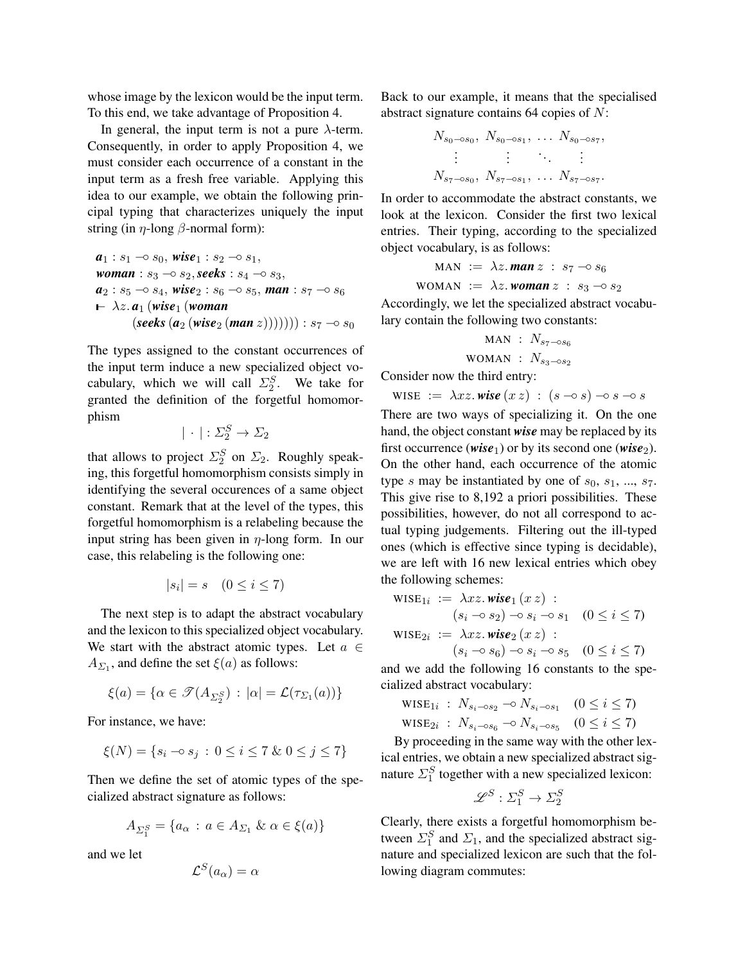whose image by the lexicon would be the input term. To this end, we take advantage of Proposition 4.

In general, the input term is not a pure  $\lambda$ -term. Consequently, in order to apply Proposition 4, we must consider each occurrence of a constant in the input term as a fresh free variable. Applying this idea to our example, we obtain the following principal typing that characterizes uniquely the input string (in  $\eta$ -long  $\beta$ -normal form):

$$
a1: s1 → s0, wise1: s2 → s1,\nwoman: s3 → s2, seeks: s4 → s3,\n a2: s5 → s4, wise2: s6 → s5, man: s7 → s6\n ← λz. a1 (wise1 (woman\n(seeks (a2 (wise2 (man z))))))) : s7 → s0
$$

The types assigned to the constant occurrences of the input term induce a new specialized object vocabulary, which we will call  $\Sigma_2^S$ . We take for granted the definition of the forgetful homomorphism

$$
|\cdot|:\Sigma_2^S\to\Sigma_2
$$

that allows to project  $\Sigma_2^S$  on  $\Sigma_2$ . Roughly speaking, this forgetful homomorphism consists simply in identifying the several occurences of a same object constant. Remark that at the level of the types, this forgetful homomorphism is a relabeling because the input string has been given in  $\eta$ -long form. In our case, this relabeling is the following one:

$$
|s_i| = s \quad (0 \le i \le 7)
$$

The next step is to adapt the abstract vocabulary and the lexicon to this specialized object vocabulary. We start with the abstract atomic types. Let  $a \in$  $A_{\Sigma_1}$ , and define the set  $\xi(a)$  as follows:

$$
\xi(a) = \{ \alpha \in \mathcal{T}(A_{\Sigma_2^S}) \, : \, |\alpha| = \mathcal{L}(\tau_{\Sigma_1}(a)) \}
$$

For instance, we have:

$$
\xi(N) = \{ s_i \to s_j \, : \, 0 \le i \le 7 \, \& \, 0 \le j \le 7 \}
$$

Then we define the set of atomic types of the specialized abstract signature as follows:

$$
A_{\Sigma_1^S} = \{a_\alpha : a \in A_{\Sigma_1} \& \alpha \in \xi(a)\}
$$

and we let

$$
\mathcal{L}^S(a_\alpha) = \alpha
$$

Back to our example, it means that the specialised abstract signature contains 64 copies of N:

$$
N_{s_0 \to s_0}, N_{s_0 \to s_1}, \dots N_{s_0 \to s_7},
$$
  
\n
$$
\vdots \qquad \vdots
$$
  
\n
$$
N_{s_7 \to s_0}, N_{s_7 \to s_1}, \dots N_{s_7 \to s_7}.
$$

In order to accommodate the abstract constants, we look at the lexicon. Consider the first two lexical entries. Their typing, according to the specialized object vocabulary, is as follows:

$$
MAN := \lambda z.\text{man } z : s_7 \rightarrow s_6
$$

$$
WOMAN := \lambda z.\text{woman } z : s_3 \neg \circ s_2
$$

Accordingly, we let the specialized abstract vocabulary contain the following two constants:

$$
\begin{aligned}\n\text{MAN} &: N_{s_7 \to s_6} \\
\text{WOMAN} &: N_{s_3 \to s_2}\n\end{aligned}
$$

Consider now the third entry:

$$
\text{WISE} := \lambda xz \text{.} \textit{wise} \left( x \, z \right) : (s \, \text{--} \, s) \, \text{--} \, s \, \text{--} \, s
$$

There are two ways of specializing it. On the one hand, the object constant *wise* may be replaced by its first occurrence (*wise*<sub>1</sub>) or by its second one (*wise*<sub>2</sub>). On the other hand, each occurrence of the atomic type s may be instantiated by one of  $s_0$ ,  $s_1$ , ...,  $s_7$ . This give rise to 8,192 a priori possibilities. These possibilities, however, do not all correspond to actual typing judgements. Filtering out the ill-typed ones (which is effective since typing is decidable), we are left with 16 new lexical entries which obey the following schemes:

$$
\begin{aligned}\n\text{WISE}_{1i} &:= \lambda xz.\text{wise}_1(xz) : \\
& (s_i \neg s_2) \neg s_i \neg s_1 \quad (0 \le i \le 7) \\
\text{WISE}_{2i} &:= \lambda xz.\text{wise}_2(xz) : \\
& (s_i \neg s_6) \neg s_i \neg s_5 \quad (0 \le i \le 7)\n\end{aligned}
$$

and we add the following 16 constants to the specialized abstract vocabulary:

WISE<sub>1</sub>*i* :  $N_{s_i \to s_2} \to N_{s_i \to s_1}$  (0 ≤ *i* ≤ 7)

WISE<sub>2*i*</sub> :  $N_{s_i \to s_6}$   $\to N_{s_i \to s_5}$   $(0 \le i \le 7)$ 

By proceeding in the same way with the other lexical entries, we obtain a new specialized abstract signature  $\Sigma_1^S$  together with a new specialized lexicon:

$$
\mathscr{L}^S : \Sigma^S_1 \to \Sigma^S_2
$$

Clearly, there exists a forgetful homomorphism between  $\Sigma_1^S$  and  $\Sigma_1$ , and the specialized abstract signature and specialized lexicon are such that the following diagram commutes: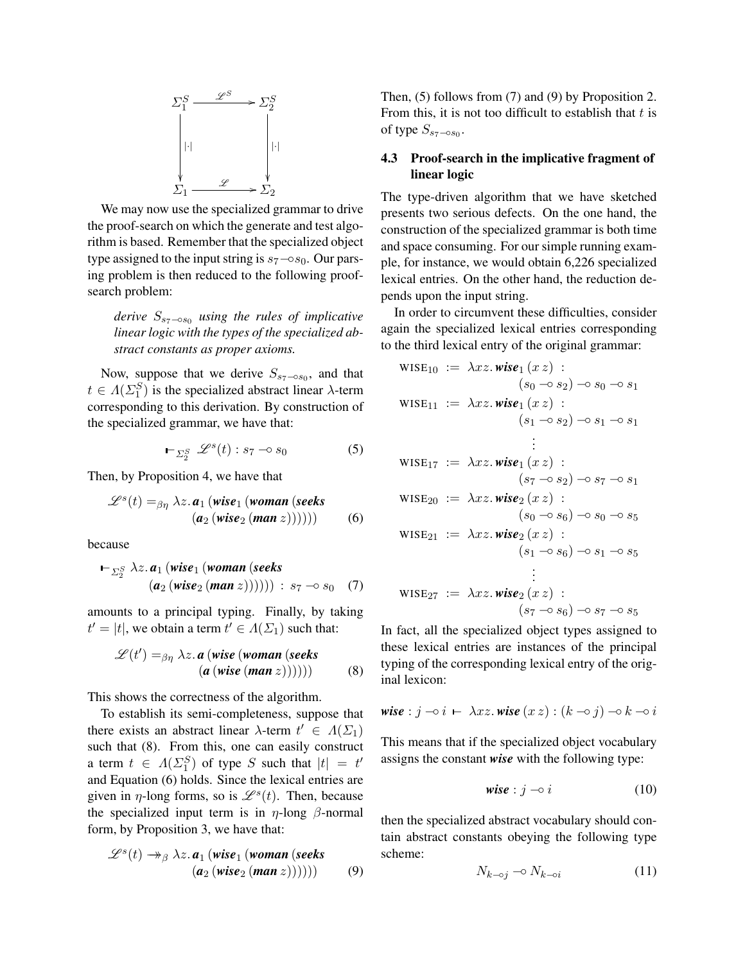

We may now use the specialized grammar to drive the proof-search on which the generate and test algorithm is based. Remember that the specialized object type assigned to the input string is  $s_7$  – $\circ s_0$ . Our parsing problem is then reduced to the following proofsearch problem:

*derive*  $S_{s_7-○s_0}$  *using the rules of implicative linear logic with the types of the specialized abstract constants as proper axioms.*

Now, suppose that we derive  $S_{s_7 \sim s_0}$ , and that  $t \in \Lambda(\Sigma_1^S)$  is the specialized abstract linear  $\lambda$ -term corresponding to this derivation. By construction of the specialized grammar, we have that:

$$
\vdash_{\varSigma_2^S} \mathscr{L}^s(t) : s_7 \multimap s_0 \tag{5}
$$

Then, by Proposition 4, we have that

$$
\mathscr{L}^s(t) =_{\beta\eta} \lambda z. \mathbf{a}_1 \left( \text{wise}_1 \left( \text{woman} \left( \text{seeks} \right) \right) \right) \right) \tag{6}
$$

because

$$
\vdash_{\varSigma_2^S} \lambda z. a_1 (wise_1 (woman (seeks (a_2 (wise_2 (man z)))))) : s_7 \neg \circ s_0 \quad (7)
$$

amounts to a principal typing. Finally, by taking  $t' = |t|$ , we obtain a term  $t' \in \Lambda(\Sigma_1)$  such that:

$$
\mathscr{L}(t') =_{\beta\eta} \lambda z. \, a \, (wise \, (woman \, (seeks (a \, (wise \, (man \, z)))))))
$$
 (8)

This shows the correctness of the algorithm.

To establish its semi-completeness, suppose that there exists an abstract linear  $\lambda$ -term  $t' \in \Lambda(\Sigma_1)$ such that (8). From this, one can easily construct a term  $t \in \Lambda(\Sigma_1^S)$  of type S such that  $|t| = t'$ and Equation (6) holds. Since the lexical entries are given in  $\eta$ -long forms, so is  $\mathcal{L}^{s}(t)$ . Then, because the specialized input term is in  $\eta$ -long  $\beta$ -normal form, by Proposition 3, we have that:

$$
\mathscr{L}^{s}(t) \rightarrow_{\beta} \lambda z. a_1 (wise_1 (woman (seeks (a_2 (wise_2 (man z)))))))
$$
 (9)

Then, (5) follows from (7) and (9) by Proposition 2. From this, it is not too difficult to establish that  $t$  is of type  $S_{s_7\sim s_0}$ .

# 4.3 Proof-search in the implicative fragment of linear logic

The type-driven algorithm that we have sketched presents two serious defects. On the one hand, the construction of the specialized grammar is both time and space consuming. For our simple running example, for instance, we would obtain 6,226 specialized lexical entries. On the other hand, the reduction depends upon the input string.

In order to circumvent these difficulties, consider again the specialized lexical entries corresponding to the third lexical entry of the original grammar:

$$
\begin{aligned}\n\text{WISE}_{10} &:= \lambda xz.\text{wise}_1(xz) : \\
& (s_0 \neg s_2) \neg s_0 \neg s_1 \\
\text{WISE}_{11} &:= \lambda xz.\text{wise}_1(xz) : \\
& (s_1 \neg s_2) \neg s_1 \neg s_1 \\
& \vdots \\
& (s_7 \neg s_2) \neg s_7 \neg s_1 \\
\text{WISE}_{20} &:= \lambda xz.\text{wise}_2(xz) : \\
& (s_0 \neg s_6) \neg s_0 \neg s_5 \\
\text{WISE}_{21} &:= \lambda xz.\text{wise}_2(xz) : \\
& (s_1 \neg s_6) \neg s_1 \neg s_5 \\
& \vdots \\
\text{WISE}_{27} &:= \lambda xz.\text{wise}_2(xz) : \\
& (s_7 \neg s_6) \neg s_7 \neg s_5\n\end{aligned}
$$

In fact, all the specialized object types assigned to these lexical entries are instances of the principal typing of the corresponding lexical entry of the original lexicon:

$$
\textit{wise}: j \multimap i \ \vdash \ \lambda x z \textit{.wise} \ (x \ z) : (k \multimap j) \multimap k \multimap i
$$

This means that if the specialized object vocabulary assigns the constant *wise* with the following type:

$$
\text{wise}: j \to i \tag{10}
$$

then the specialized abstract vocabulary should contain abstract constants obeying the following type scheme:

$$
N_{k \to j} \to N_{k \to i} \tag{11}
$$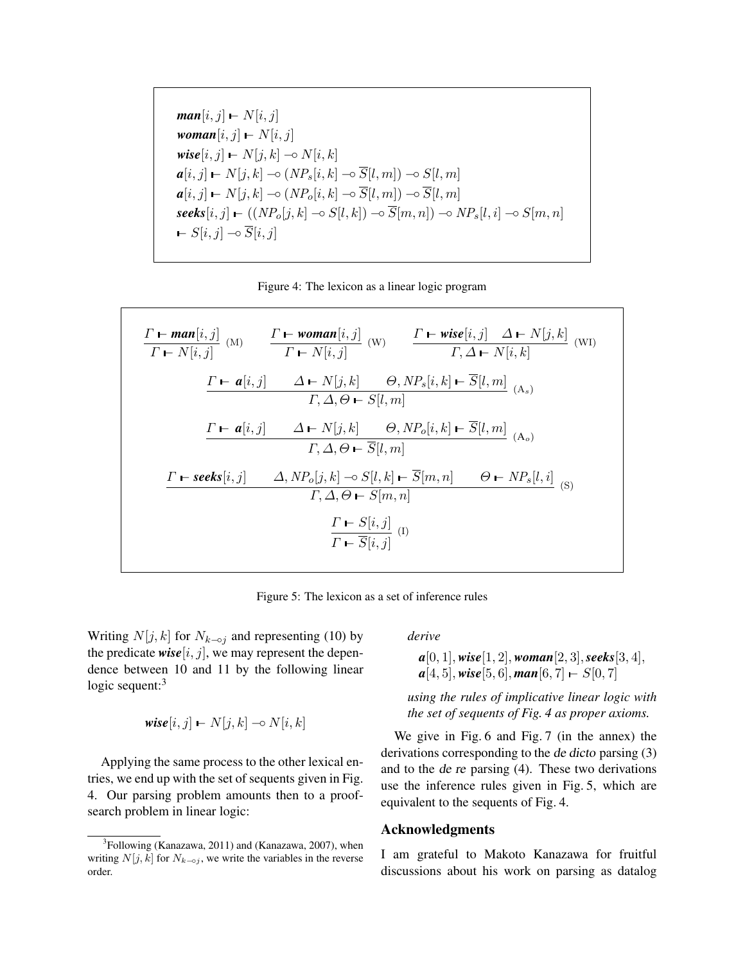$$  $$ *wise*[ $i, j$ ]  $\vdash N[j, k] \multimap N[i, k]$  $\boldsymbol{a}[i,j] \leftarrow N[j,k] \multimap (NP_s[i,k] \multimap \overline{S}[l,m]) \multimap S[l,m]$  $\boldsymbol{a}[i,j] \leftarrow N[j,k] \multimap (NP_o[i,k] \multimap \overline{S}[l,m]) \multimap \overline{S}[l,m]$  $\textit{seeks}[i,j] \vdash ((NP_o[j,k] \multimap S[l,k]) \multimap \overline{S}[m,n]) \multimap NP_s[l,i] \multimap S[m,n]$  $\vdash S[i,j] \multimap S[i,j]$ 

Figure 4: The lexicon as a linear logic program

$$
\frac{\Gamma \vdash man[i,j]}{\Gamma \vdash N[i,j]} \text{ (M)} \qquad \frac{\Gamma \vdash woman[i,j]}{\Gamma \vdash N[i,j]} \text{ (W)} \qquad \frac{\Gamma \vdash wise[i,j] \quad \Delta \vdash N[j,k]}{\Gamma, \Delta \vdash N[i,k]} \text{ (WI)}
$$
\n
$$
\frac{\Gamma \vdash a[i,j] \qquad \Delta \vdash N[j,k] \qquad \Theta, NP_s[i,k] \vdash \overline{S}[l,m]}{\Gamma, \Delta, \Theta \vdash S[l,m]} \text{ (A}_s)}
$$
\n
$$
\frac{\Gamma \vdash a[i,j] \qquad \Delta \vdash N[j,k] \qquad \Theta, NP_o[i,k] \vdash \overline{S}[l,m]}{\Gamma, \Delta, \Theta \vdash \overline{S}[l,m]} \text{ (A}_o)}
$$
\n
$$
\frac{\Gamma \vdash seeks[i,j] \qquad \Delta, NP_o[j,k] \multimap S[l,k] \vdash \overline{S}[m,n] \qquad \Theta \vdash NP_s[l,i]}{\Gamma, \Delta, \Theta \vdash S[m,n]} \qquad \Theta \vdash NP_s[l,i]} \text{ (S)}
$$
\n
$$
\frac{\Gamma \vdash S[i,j]}{\Gamma \vdash \overline{S}[i,j]} \text{ (I)}
$$

Figure 5: The lexicon as a set of inference rules

Writing  $N[j, k]$  for  $N_{k-oj}$  and representing (10) by the predicate  $wise[i, j]$ , we may represent the dependence between 10 and 11 by the following linear logic sequent: $3$ 

$$
\textit{wise}[i, j] \leftarrow N[j, k] \leftarrow N[i, k]
$$

Applying the same process to the other lexical entries, we end up with the set of sequents given in Fig. 4. Our parsing problem amounts then to a proofsearch problem in linear logic:

*derive*

*a*[0, 1], *wise*[1, 2], *woman*[2, 3],*seeks*[3, 4],  $a[4, 5]$ , *wise*[5, 6],  $man[6, 7]$  –  $S[0, 7]$ 

*using the rules of implicative linear logic with the set of sequents of Fig. 4 as proper axioms.*

We give in Fig. 6 and Fig. 7 (in the annex) the derivations corresponding to the de dicto parsing (3) and to the de re parsing (4). These two derivations use the inference rules given in Fig. 5, which are equivalent to the sequents of Fig. 4.

# Acknowledgments

I am grateful to Makoto Kanazawa for fruitful discussions about his work on parsing as datalog

<sup>&</sup>lt;sup>3</sup>Following (Kanazawa, 2011) and (Kanazawa, 2007), when writing  $N[j, k]$  for  $N_{k-oj}$ , we write the variables in the reverse order.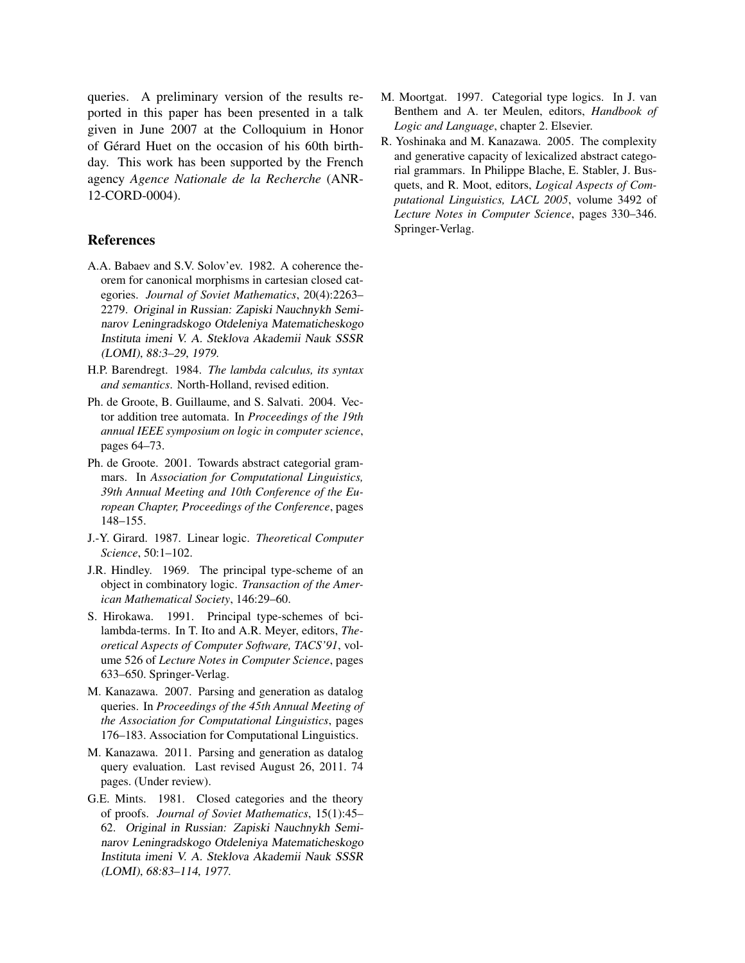queries. A preliminary version of the results reported in this paper has been presented in a talk given in June 2007 at the Colloquium in Honor of Gerard Huet on the occasion of his 60th birth- ´ day. This work has been supported by the French agency *Agence Nationale de la Recherche* (ANR-12-CORD-0004).

# References

- A.A. Babaev and S.V. Solov'ev. 1982. A coherence theorem for canonical morphisms in cartesian closed categories. *Journal of Soviet Mathematics*, 20(4):2263– 2279. Original in Russian: Zapiski Nauchnykh Seminarov Leningradskogo Otdeleniya Matematicheskogo Instituta imeni V. A. Steklova Akademii Nauk SSSR (LOMI), 88:3–29, 1979.
- H.P. Barendregt. 1984. *The lambda calculus, its syntax and semantics*. North-Holland, revised edition.
- Ph. de Groote, B. Guillaume, and S. Salvati. 2004. Vector addition tree automata. In *Proceedings of the 19th annual IEEE symposium on logic in computer science*, pages 64–73.
- Ph. de Groote. 2001. Towards abstract categorial grammars. In *Association for Computational Linguistics, 39th Annual Meeting and 10th Conference of the European Chapter, Proceedings of the Conference*, pages 148–155.
- J.-Y. Girard. 1987. Linear logic. *Theoretical Computer Science*, 50:1–102.
- J.R. Hindley. 1969. The principal type-scheme of an object in combinatory logic. *Transaction of the American Mathematical Society*, 146:29–60.
- S. Hirokawa. 1991. Principal type-schemes of bcilambda-terms. In T. Ito and A.R. Meyer, editors, *Theoretical Aspects of Computer Software, TACS'91*, volume 526 of *Lecture Notes in Computer Science*, pages 633–650. Springer-Verlag.
- M. Kanazawa. 2007. Parsing and generation as datalog queries. In *Proceedings of the 45th Annual Meeting of the Association for Computational Linguistics*, pages 176–183. Association for Computational Linguistics.
- M. Kanazawa. 2011. Parsing and generation as datalog query evaluation. Last revised August 26, 2011. 74 pages. (Under review).
- G.E. Mints. 1981. Closed categories and the theory of proofs. *Journal of Soviet Mathematics*, 15(1):45– 62. Original in Russian: Zapiski Nauchnykh Seminarov Leningradskogo Otdeleniya Matematicheskogo Instituta imeni V. A. Steklova Akademii Nauk SSSR (LOMI), 68:83–114, 1977.
- M. Moortgat. 1997. Categorial type logics. In J. van Benthem and A. ter Meulen, editors, *Handbook of Logic and Language*, chapter 2. Elsevier.
- R. Yoshinaka and M. Kanazawa. 2005. The complexity and generative capacity of lexicalized abstract categorial grammars. In Philippe Blache, E. Stabler, J. Busquets, and R. Moot, editors, *Logical Aspects of Computational Linguistics, LACL 2005*, volume 3492 of *Lecture Notes in Computer Science*, pages 330–346. Springer-Verlag.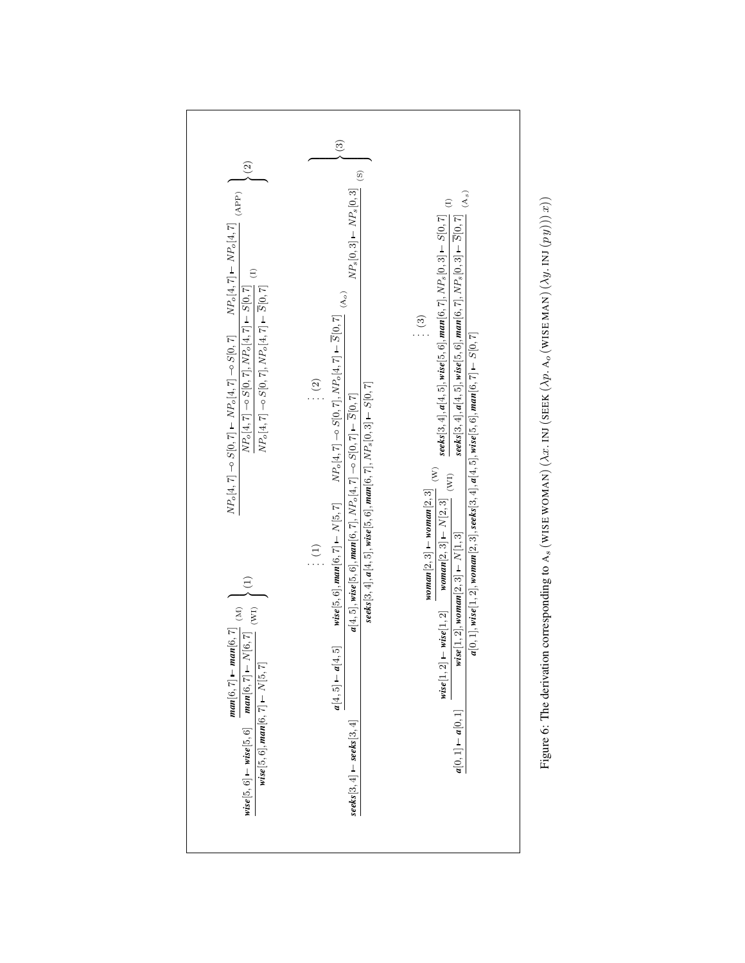

Figure 6: The derivation corresponding to  $A_s$  (WISE WOMAN) ( $\lambda x$ . INJ (SEEK ( $\lambda p$ .  $A_o$  (WISE MAN)  $(\lambda y$ . INJ  $(p y)$ )) $x)$ ) Figure 6: The derivation corresponding to A<sub>s</sub> (WISE WOMAN) (λx. INJ (SEEK (λp. A<sub>o</sub> (WISE MAN) (λy. INJ (p y))) x))